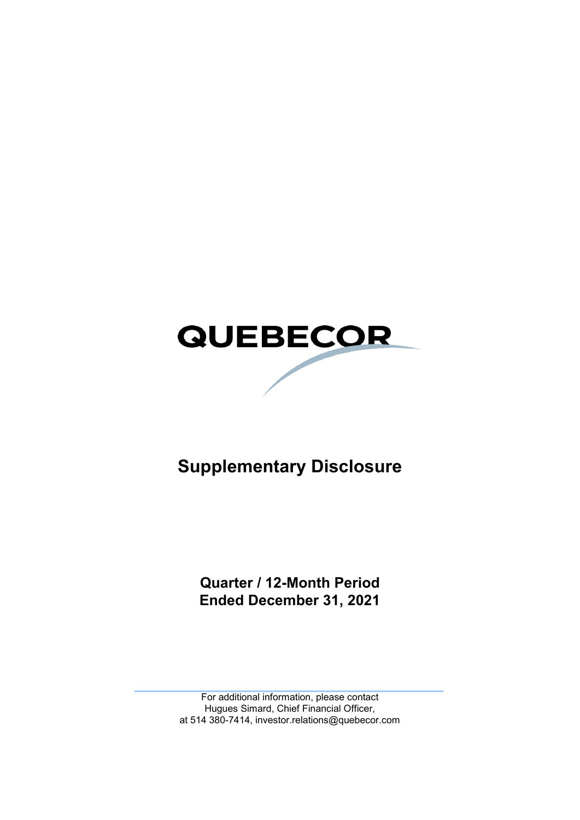# **QUEBECOR**

# **Supplementary Disclosure**

**Quarter / 12-Month Period Ended December 31, 2021**

For additional information, please contact Hugues Simard, Chief Financial Officer, at 514 380-7414, investor.relations@quebecor.com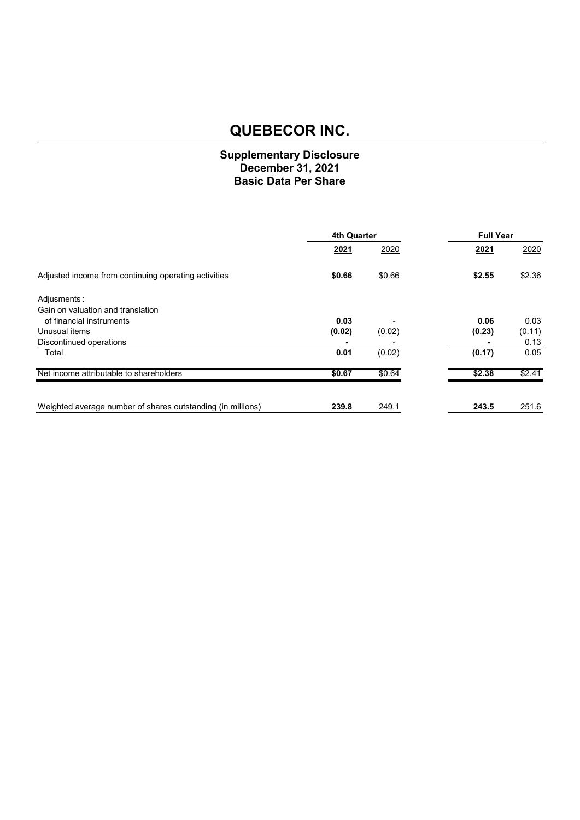## **Supplementary Disclosure December 31, 2021 Basic Data Per Share**

|                                                             | <b>4th Quarter</b> |        |        | <b>Full Year</b> |  |
|-------------------------------------------------------------|--------------------|--------|--------|------------------|--|
|                                                             | 2021               | 2020   | 2021   | 2020             |  |
| Adjusted income from continuing operating activities        | \$0.66             | \$0.66 | \$2.55 | \$2.36           |  |
| Adjusments:                                                 |                    |        |        |                  |  |
| Gain on valuation and translation                           |                    |        |        |                  |  |
| of financial instruments                                    | 0.03               |        | 0.06   | 0.03             |  |
| Unusual items                                               | (0.02)             | (0.02) | (0.23) | (0.11)           |  |
| Discontinued operations                                     |                    |        |        | 0.13             |  |
| Total                                                       | 0.01               | (0.02) | (0.17) | 0.05             |  |
| Net income attributable to shareholders                     | \$0.67             | \$0.64 | \$2.38 | \$2.41           |  |
|                                                             |                    |        |        |                  |  |
| Weighted average number of shares outstanding (in millions) | 239.8              | 249.1  | 243.5  | 251.6            |  |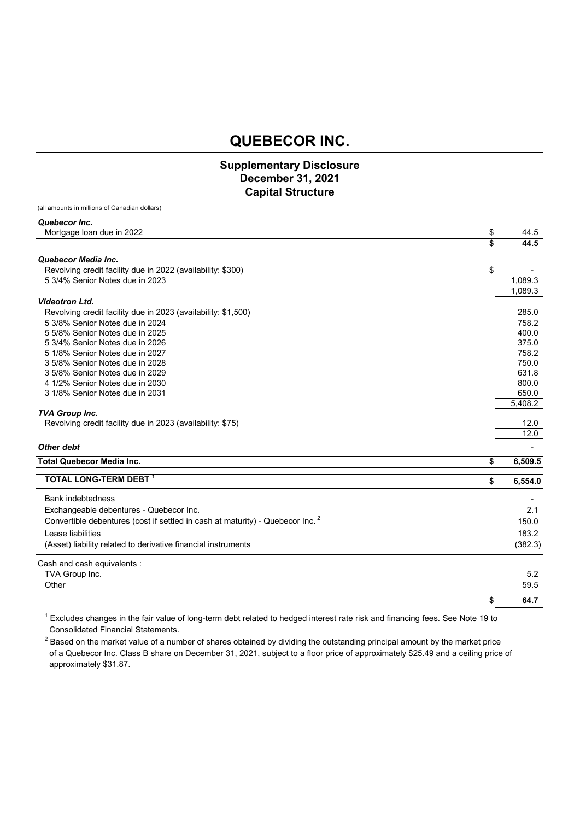## **Supplementary Disclosure December 31, 2021 Capital Structure**

(all amounts in millions of Canadian dollars)

#### *Quebecor Inc.*

| Mortgage loan due in 2022                                                                 | \$<br>44.5    |
|-------------------------------------------------------------------------------------------|---------------|
|                                                                                           | \$<br>44.5    |
| Quebecor Media Inc.                                                                       |               |
| Revolving credit facility due in 2022 (availability: \$300)                               | \$            |
| 5 3/4% Senior Notes due in 2023                                                           | 1,089.3       |
|                                                                                           | 1,089.3       |
| <b>Videotron Ltd.</b>                                                                     |               |
| Revolving credit facility due in 2023 (availability: \$1,500)                             | 285.0         |
| 5 3/8% Senior Notes due in 2024                                                           | 758.2         |
| 5 5/8% Senior Notes due in 2025                                                           | 400.0         |
| 5 3/4% Senior Notes due in 2026                                                           | 375.0         |
| 5 1/8% Senior Notes due in 2027                                                           | 758.2         |
| 3 5/8% Senior Notes due in 2028                                                           | 750.0         |
| 3 5/8% Senior Notes due in 2029                                                           | 631.8         |
| 4 1/2% Senior Notes due in 2030                                                           | 800.0         |
| 3 1/8% Senior Notes due in 2031                                                           | 650.0         |
|                                                                                           | 5,408.2       |
| <b>TVA Group Inc.</b>                                                                     |               |
| Revolving credit facility due in 2023 (availability: \$75)                                | 12.0          |
|                                                                                           | 12.0          |
| Other debt                                                                                |               |
| <b>Total Quebecor Media Inc.</b>                                                          | \$<br>6,509.5 |
| <b>TOTAL LONG-TERM DEBT</b>                                                               | \$<br>6,554.0 |
|                                                                                           |               |
| <b>Bank indebtedness</b>                                                                  |               |
| Exchangeable debentures - Quebecor Inc.                                                   | 2.1           |
| Convertible debentures (cost if settled in cash at maturity) - Quebecor Inc. <sup>2</sup> | 150.0         |
| Lease liabilities                                                                         | 183.2         |
| (Asset) liability related to derivative financial instruments                             | (382.3)       |
|                                                                                           |               |
| Cash and cash equivalents :                                                               |               |
| TVA Group Inc.                                                                            | 5.2           |
| Other                                                                                     | 59.5          |
|                                                                                           | 64.7          |
|                                                                                           |               |

 $^1$  Excludes changes in the fair value of long-term debt related to hedged interest rate risk and financing fees. See Note 19 to Consolidated Financial Statements.

 $^2$  Based on the market value of a number of shares obtained by dividing the outstanding principal amount by the market price of a Quebecor Inc. Class B share on December 31, 2021, subject to a floor price of approximately \$25.49 and a ceiling price of approximately \$31.87.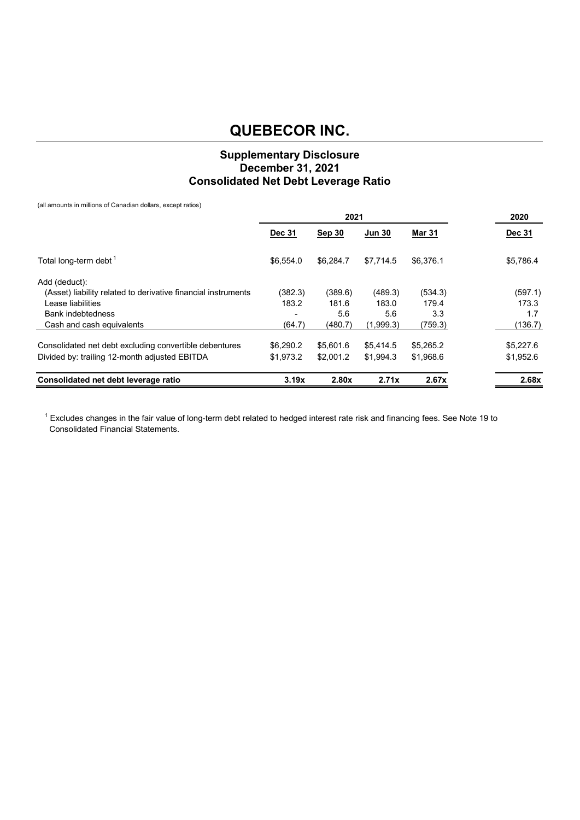## **Supplementary Disclosure December 31, 2021 Consolidated Net Debt Leverage Ratio**

(all amounts in millions of Canadian dollars, except ratios)

|                                                               | 2021          |           |               |               | 2020          |
|---------------------------------------------------------------|---------------|-----------|---------------|---------------|---------------|
|                                                               | <b>Dec 31</b> | Sep 30    | <b>Jun 30</b> | <b>Mar 31</b> | <b>Dec 31</b> |
| Total long-term debt <sup>1</sup>                             | \$6.554.0     | \$6.284.7 | \$7.714.5     | \$6,376.1     | \$5,786.4     |
| Add (deduct):                                                 |               |           |               |               |               |
| (Asset) liability related to derivative financial instruments | (382.3)       | (389.6)   | (489.3)       | (534.3)       | (597.1)       |
| Lease liabilities                                             | 183.2         | 181.6     | 183.0         | 179.4         | 173.3         |
| <b>Bank indebtedness</b>                                      |               | 5.6       | 5.6           | 3.3           | 1.7           |
| Cash and cash equivalents                                     | (64.7)        | (480.7)   | (1,999.3)     | (759.3)       | (136.7)       |
| Consolidated net debt excluding convertible debentures        | \$6,290.2     | \$5,601.6 | \$5,414.5     | \$5,265.2     | \$5,227.6     |
| Divided by: trailing 12-month adjusted EBITDA                 | \$1.973.2     | \$2,001.2 | \$1.994.3     | \$1,968.6     | \$1,952.6     |
| Consolidated net debt leverage ratio                          | 3.19x         | 2.80x     | 2.71x         | 2.67x         | 2.68x         |

 $^1$  Excludes changes in the fair value of long-term debt related to hedged interest rate risk and financing fees. See Note 19 to Consolidated Financial Statements.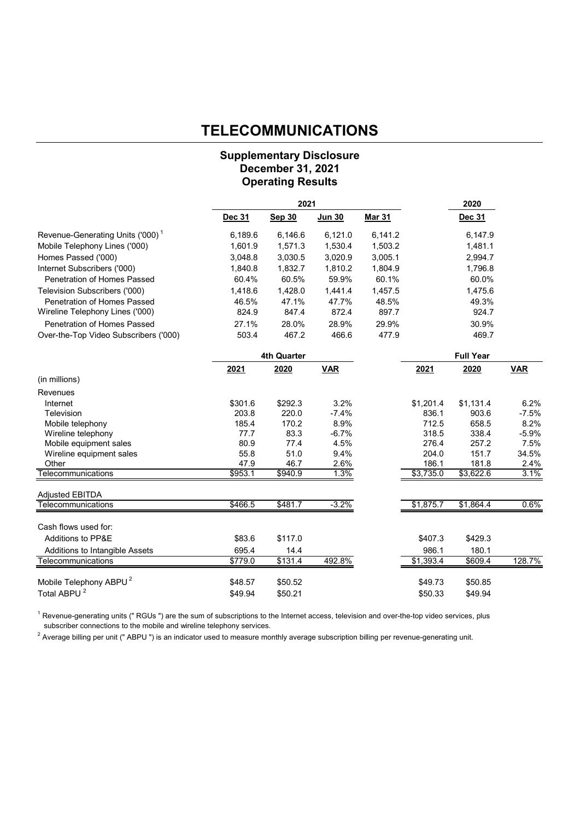## **TELECOMMUNICATIONS**

## **Supplementary Disclosure December 31, 2021 Operating Results**

|                                              |               | 2021               |               | 2020          |           |                  |            |
|----------------------------------------------|---------------|--------------------|---------------|---------------|-----------|------------------|------------|
|                                              | <b>Dec 31</b> | <b>Sep 30</b>      | <b>Jun 30</b> | <b>Mar 31</b> |           | <b>Dec 31</b>    |            |
| Revenue-Generating Units ('000) <sup>1</sup> | 6,189.6       | 6,146.6            | 6,121.0       | 6,141.2       |           | 6,147.9          |            |
| Mobile Telephony Lines ('000)                | 1,601.9       | 1,571.3            | 1,530.4       | 1,503.2       |           | 1,481.1          |            |
| Homes Passed ('000)                          | 3,048.8       | 3,030.5            | 3,020.9       | 3,005.1       |           | 2,994.7          |            |
| Internet Subscribers ('000)                  | 1,840.8       | 1,832.7            | 1,810.2       | 1,804.9       |           | 1,796.8          |            |
| Penetration of Homes Passed                  | 60.4%         | 60.5%              | 59.9%         | 60.1%         |           | 60.0%            |            |
| Television Subscribers ('000)                | 1,418.6       | 1,428.0            | 1,441.4       | 1,457.5       |           | 1,475.6          |            |
| Penetration of Homes Passed                  | 46.5%         | 47.1%              | 47.7%         | 48.5%         |           | 49.3%            |            |
| Wireline Telephony Lines ('000)              | 824.9         | 847.4              | 872.4         | 897.7         |           | 924.7            |            |
| <b>Penetration of Homes Passed</b>           | 27.1%         | 28.0%              | 28.9%         | 29.9%         |           | 30.9%            |            |
| Over-the-Top Video Subscribers ('000)        | 503.4         | 467.2              | 466.6         | 477.9         |           | 469.7            |            |
|                                              |               | <b>4th Quarter</b> |               |               |           | <b>Full Year</b> |            |
|                                              | 2021          | 2020               | <b>VAR</b>    |               | 2021      | 2020             | <b>VAR</b> |
| (in millions)                                |               |                    |               |               |           |                  |            |
| Revenues                                     |               |                    |               |               |           |                  |            |
| Internet                                     | \$301.6       | \$292.3            | 3.2%          |               | \$1,201.4 | \$1,131.4        | 6.2%       |
| Television                                   | 203.8         | 220.0              | $-7.4%$       |               | 836.1     | 903.6            | $-7.5%$    |
| Mobile telephony                             | 185.4         | 170.2              | 8.9%          |               | 712.5     | 658.5            | 8.2%       |
| Wireline telephony                           | 77.7          | 83.3               | $-6.7%$       |               | 318.5     | 338.4            | $-5.9%$    |
| Mobile equipment sales                       | 80.9          | 77.4               | 4.5%          |               | 276.4     | 257.2            | 7.5%       |
| Wireline equipment sales                     | 55.8          | 51.0               | 9.4%          |               | 204.0     | 151.7            | 34.5%      |
| Other                                        | 47.9          | 46.7               | 2.6%          |               | 186.1     | 181.8            | 2.4%       |
| Telecommunications                           | \$953.1       | \$940.9            | 1.3%          |               | \$3,735.0 | \$3,622.6        | 3.1%       |
| <b>Adjusted EBITDA</b>                       |               |                    |               |               |           |                  |            |
| Telecommunications                           | \$466.5       | \$481.7            | $-3.2%$       |               | \$1,875.7 | \$1,864.4        | 0.6%       |
| Cash flows used for:                         |               |                    |               |               |           |                  |            |
| Additions to PP&E                            | \$83.6        | \$117.0            |               |               | \$407.3   | \$429.3          |            |
| Additions to Intangible Assets               | 695.4         | 14.4               |               |               | 986.1     | 180.1            |            |
| Telecommunications                           | \$779.0       | \$131.4            | 492.8%        |               | \$1,393.4 | \$609.4          | 128.7%     |
| Mobile Telephony ABPU <sup>2</sup>           | \$48.57       | \$50.52            |               |               | \$49.73   | \$50.85          |            |
| Total ABPU <sup>2</sup>                      | \$49.94       | \$50.21            |               |               | \$50.33   | \$49.94          |            |

 $1$  Revenue-generating units (" RGUs ") are the sum of subscriptions to the Internet access, television and over-the-top video services, plus subscriber connections to the mobile and wireline telephony services.

 $^2$  Average billing per unit (" ABPU ") is an indicator used to measure monthly average subscription billing per revenue-generating unit.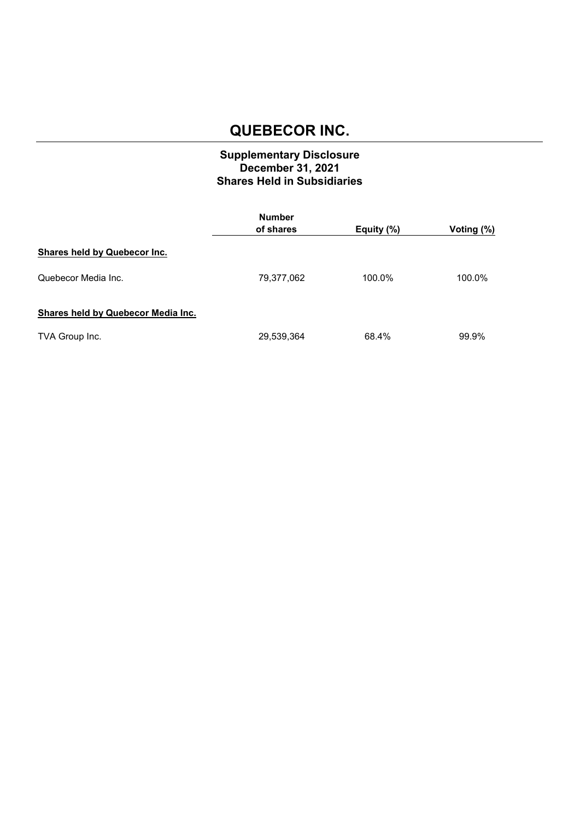## **Supplementary Disclosure December 31, 2021 Shares Held in Subsidiaries**

|                                     | <b>Number</b><br>of shares | Equity (%) | Voting (%) |
|-------------------------------------|----------------------------|------------|------------|
| <b>Shares held by Quebecor Inc.</b> |                            |            |            |
| Quebecor Media Inc.                 | 79,377,062                 | 100.0%     | 100.0%     |
| Shares held by Quebecor Media Inc.  |                            |            |            |
| TVA Group Inc.                      | 29,539,364                 | 68.4%      | 99.9%      |